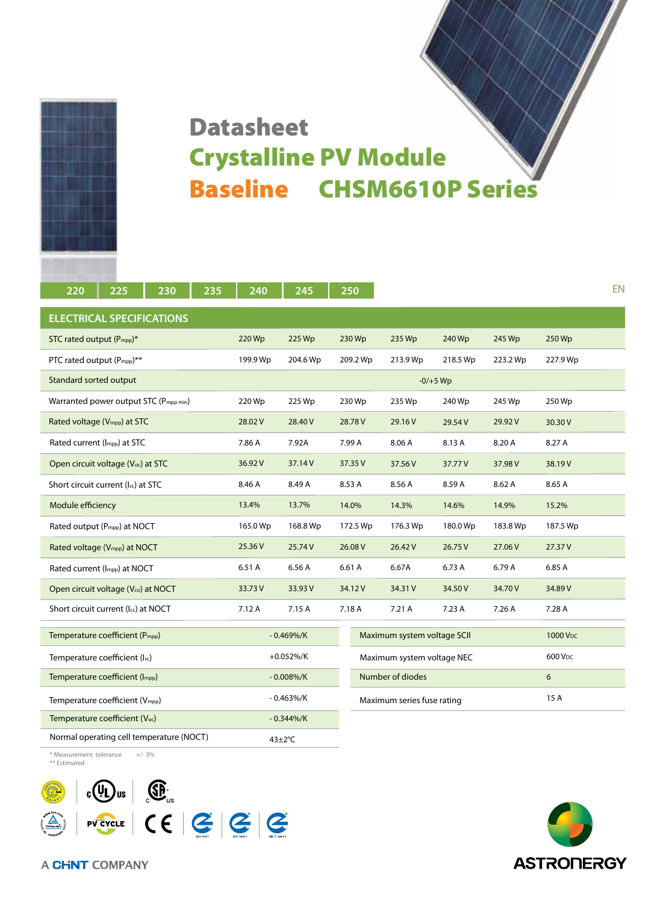

## Baseline CHSM6610P Series Datasheet Crystalline PV Module

| 220                                            | 225 | 230          | 235           | 240        | 245                         |          | 250      |          |                      |          |          | EN |
|------------------------------------------------|-----|--------------|---------------|------------|-----------------------------|----------|----------|----------|----------------------|----------|----------|----|
| <b>ELECTRICAL SPECIFICATIONS</b>               |     |              |               |            |                             |          |          |          |                      |          |          |    |
| STC rated output (P <sub>mpp</sub> )*          |     |              |               | 220 Wp     | 225 Wp                      |          | 230 Wp   | 235 Wp   | 240 Wp               | 245 Wp   | 250 Wp   |    |
| PTC rated output (Pmpp)**                      |     |              |               | 199.9 Wp   | 204.6 Wp                    |          | 209.2 Wp | 213.9 Wp | 218.5 Wp             | 223.2 Wp | 227.9 Wp |    |
| Standard sorted output                         |     |              |               | $-0/+5$ Wp |                             |          |          |          |                      |          |          |    |
| Warranted power output STC (Pmpp min)          |     | 220 Wp       | 225 Wp        |            | 230 Wp                      | 235 Wp   | 240 Wp   | 245 Wp   | 250 Wp               |          |          |    |
| Rated voltage (V <sub>mpp</sub> ) at STC       |     |              |               | 28.02V     | 28.40 V                     |          | 28.78 V  | 29.16 V  | 29.54 V              | 29.92 V  | 30.30 V  |    |
| Rated current (Impp) at STC                    |     |              |               | 7.86 A     | 7.92A                       |          | 7.99 A   | 8.06 A   | 8.13 A               | 8.20 A   | 8.27 A   |    |
| Open circuit voltage (V <sub>oc</sub> ) at STC |     |              |               | 36.92V     | 37.14V                      |          | 37.35 V  | 37.56 V  | 37.77V               | 37.98 V  | 38.19V   |    |
| Short circuit current (Isc) at STC             |     |              |               | 8.46 A     | 8.49 A                      |          | 8.53 A   | 8.56 A   | 8.59 A               | 8.62 A   | 8.65 A   |    |
| Module efficiency                              |     |              |               | 13.4%      | 13.7%                       |          | 14.0%    | 14.3%    | 14.6%                | 14.9%    | 15.2%    |    |
| Rated output (P <sub>mpp</sub> ) at NOCT       |     | 165.0 Wp     | 168.8 Wp      |            | 172.5 Wp                    | 176.3 Wp | 180.0 Wp | 183.8 Wp | 187.5 Wp             |          |          |    |
| Rated voltage (V <sub>mpp</sub> ) at NOCT      |     | 25.36 V      | 25.74 V       |            | 26.08 V                     | 26.42 V  | 26.75 V  | 27.06 V  | 27.37V               |          |          |    |
| Rated current (Impp) at NOCT                   |     | 6.51 A       | 6.56 A        |            | 6.61 A                      | 6.67A    | 6.73 A   | 6.79 A   | 6.85 A               |          |          |    |
| Open circuit voltage (Vco) at NOCT             |     | 33.73V       | 33.93V        |            | 34.12V                      | 34.31 V  | 34.50 V  | 34.70V   | 34.89 V              |          |          |    |
| Short circuit current (Icc) at NOCT            |     | 7.12 A       | 7.15A         |            | 7.18 A                      | 7.21 A   | 7.23 A   | 7.26A    | 7.28 A               |          |          |    |
| Temperature coefficient (P <sub>mpp</sub> )    |     | $-0.469\%/K$ |               |            | Maximum system voltage SCII |          |          |          | 1000 V <sub>DC</sub> |          |          |    |
| Temperature coefficient (Isc)                  |     | $+0.052\%/K$ |               |            | Maximum system voltage NEC  |          |          |          | 600 V <sub>DC</sub>  |          |          |    |
| Temperature coefficient (Impp)                 |     | $-0.008\%/K$ |               |            | Number of diodes            |          |          | 6        |                      |          |          |    |
| Temperature coefficient (Vmpp)                 |     | $-0.463\%/K$ |               |            | Maximum series fuse rating  |          |          |          | 15 A                 |          |          |    |
| Temperature coefficient (Voc)                  |     | $-0.344\%/K$ |               |            |                             |          |          |          |                      |          |          |    |
| Normal operating cell temperature (NOCT)       |     |              | $43 \pm 2$ °C |            |                             |          |          |          |                      |          |          |    |

\* Measurement tolerance +/- 3% \*\* Estimated